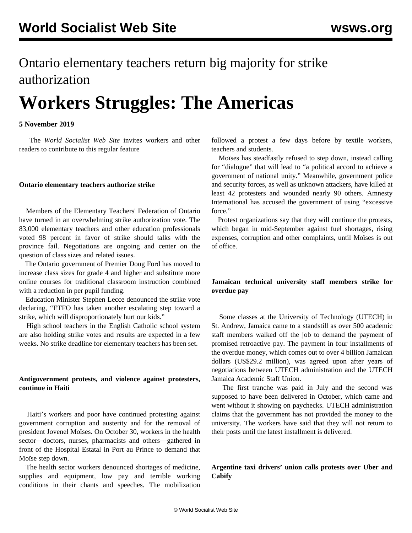## Ontario elementary teachers return big majority for strike authorization

# **Workers Struggles: The Americas**

#### **5 November 2019**

 The *World Socialist Web Site* invites workers and other readers to [contribute](/en/special/contact.html) to this regular feature

#### **Ontario elementary teachers authorize strike**

 Members of the Elementary Teachers' Federation of Ontario have turned in an overwhelming strike authorization vote. The 83,000 elementary teachers and other education professionals voted 98 percent in favor of strike should talks with the province fail. Negotiations are ongoing and center on the question of class sizes and related issues.

 The Ontario government of Premier Doug Ford has moved to increase class sizes for grade 4 and higher and substitute more online courses for traditional classroom instruction combined with a reduction in per pupil funding.

 Education Minister Stephen Lecce denounced the strike vote declaring, "ETFO has taken another escalating step toward a strike, which will disproportionately hurt our kids."

 High school teachers in the English Catholic school system are also holding strike votes and results are expected in a few weeks. No strike deadline for elementary teachers has been set.

#### **Antigovernment protests, and violence against protesters, continue in Haiti**

 Haiti's workers and poor have continued protesting against government corruption and austerity and for the removal of president Jovenel Moïses. On October 30, workers in the health sector—doctors, nurses, pharmacists and others—gathered in front of the Hospital Estatal in Port au Prince to demand that Moïse step down.

 The health sector workers denounced shortages of medicine, supplies and equipment, low pay and terrible working conditions in their chants and speeches. The mobilization followed a protest a few days before by textile workers, teachers and students.

 Moïses has steadfastly refused to step down, instead calling for "dialogue" that will lead to "a political accord to achieve a government of national unity." Meanwhile, government police and security forces, as well as unknown attackers, have killed at least 42 protesters and wounded nearly 90 others. Amnesty International has accused the government of using "excessive force."

 Protest organizations say that they will continue the protests, which began in mid-September against fuel shortages, rising expenses, corruption and other complaints, until Moïses is out of office.

#### **Jamaican technical university staff members strike for overdue pay**

 Some classes at the University of Technology (UTECH) in St. Andrew, Jamaica came to a standstill as over 500 academic staff members walked off the job to demand the payment of promised retroactive pay. The payment in four installments of the overdue money, which comes out to over 4 billion Jamaican dollars (US\$29.2 million), was agreed upon after years of negotiations between UTECH administration and the UTECH Jamaica Academic Staff Union.

 The first tranche was paid in July and the second was supposed to have been delivered in October, which came and went without it showing on paychecks. UTECH administration claims that the government has not provided the money to the university. The workers have said that they will not return to their posts until the latest installment is delivered.

#### **Argentine taxi drivers' union calls protests over Uber and Cabify**